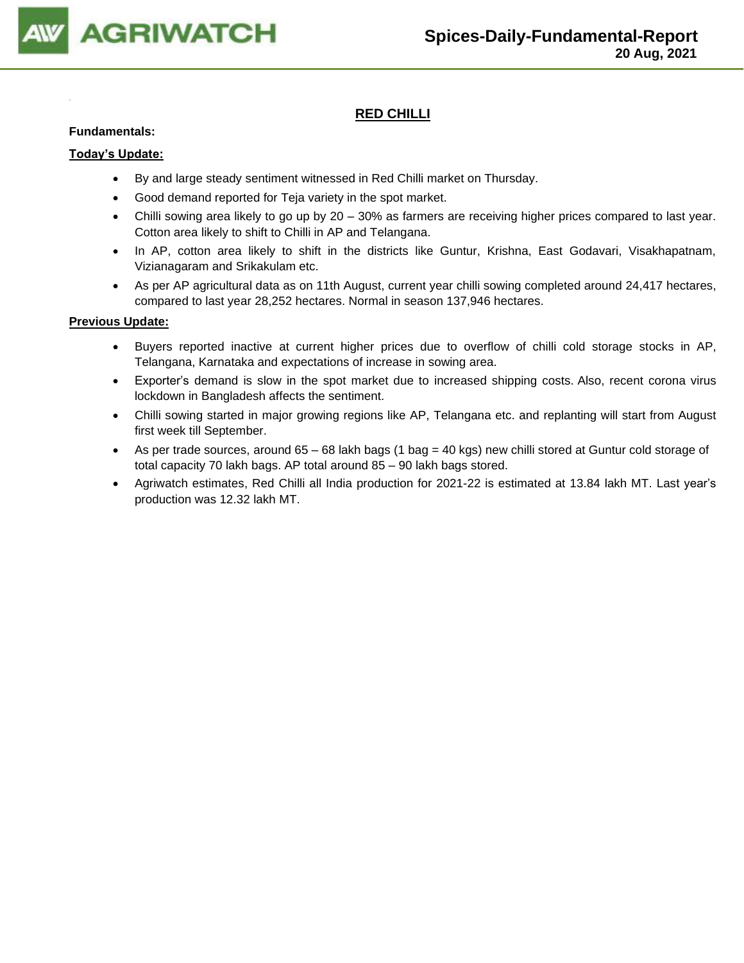

# **RED CHILLI**

#### **Fundamentals:**

#### **Today's Update:**

- By and large steady sentiment witnessed in Red Chilli market on Thursday.
- Good demand reported for Teja variety in the spot market.
- Chilli sowing area likely to go up by 20 30% as farmers are receiving higher prices compared to last year. Cotton area likely to shift to Chilli in AP and Telangana.
- In AP, cotton area likely to shift in the districts like Guntur, Krishna, East Godavari, Visakhapatnam, Vizianagaram and Srikakulam etc.
- As per AP agricultural data as on 11th August, current year chilli sowing completed around 24,417 hectares, compared to last year 28,252 hectares. Normal in season 137,946 hectares.

- Buyers reported inactive at current higher prices due to overflow of chilli cold storage stocks in AP, Telangana, Karnataka and expectations of increase in sowing area.
- Exporter's demand is slow in the spot market due to increased shipping costs. Also, recent corona virus lockdown in Bangladesh affects the sentiment.
- Chilli sowing started in major growing regions like AP, Telangana etc. and replanting will start from August first week till September.
- As per trade sources, around 65 68 lakh bags (1 bag = 40 kgs) new chilli stored at Guntur cold storage of total capacity 70 lakh bags. AP total around 85 – 90 lakh bags stored.
- Agriwatch estimates, Red Chilli all India production for 2021-22 is estimated at 13.84 lakh MT. Last year's production was 12.32 lakh MT.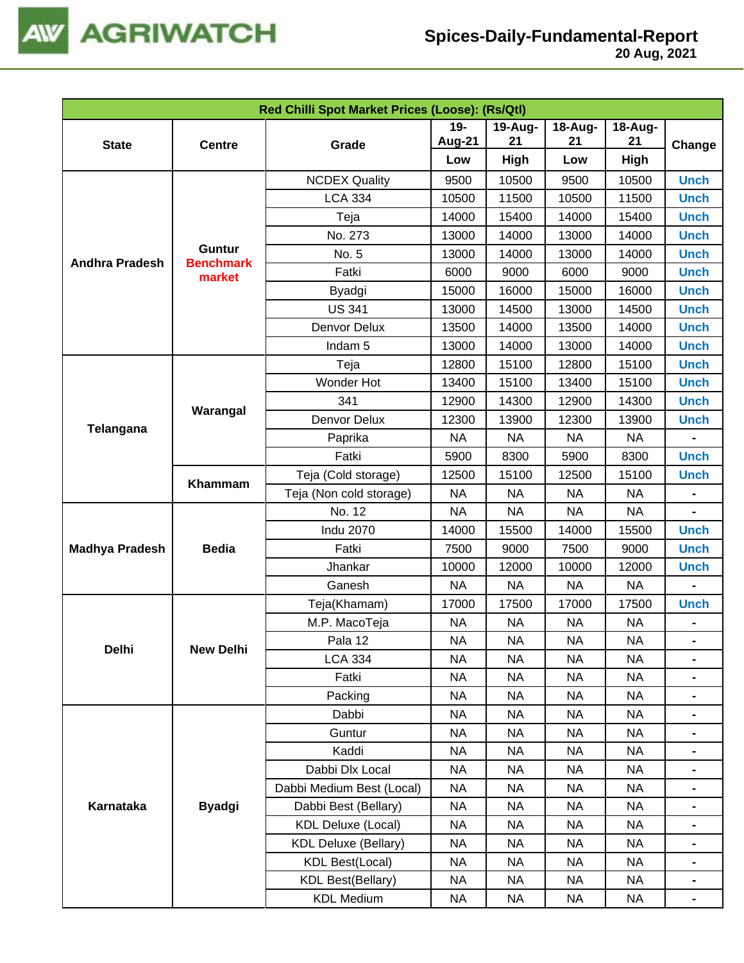

|                       |                            | Red Chilli Spot Market Prices (Loose): (Rs/Qtl) |           |           |           |           |                                                                                                                                                                                                                                                                                                                                                                                |
|-----------------------|----------------------------|-------------------------------------------------|-----------|-----------|-----------|-----------|--------------------------------------------------------------------------------------------------------------------------------------------------------------------------------------------------------------------------------------------------------------------------------------------------------------------------------------------------------------------------------|
|                       |                            |                                                 | $19-$     | 19-Aug-   | 18-Aug-   | 18-Aug-   |                                                                                                                                                                                                                                                                                                                                                                                |
| <b>State</b>          | <b>Centre</b>              | Grade                                           | Aug-21    | 21        | 21        | 21        | Change<br><b>Unch</b><br><b>Unch</b><br><b>Unch</b><br><b>Unch</b><br><b>Unch</b><br><b>Unch</b><br><b>Unch</b><br><b>Unch</b><br><b>Unch</b><br><b>Unch</b><br><b>Unch</b><br><b>Unch</b><br><b>Unch</b><br><b>Unch</b><br><b>Unch</b><br><b>Unch</b><br><b>Unch</b><br><b>Unch</b><br><b>Unch</b><br><b>Unch</b><br>Ξ.<br>$\blacksquare$<br>$\blacksquare$<br>$\blacksquare$ |
|                       |                            |                                                 | Low       | High      | Low       | High      |                                                                                                                                                                                                                                                                                                                                                                                |
|                       |                            | <b>NCDEX Quality</b>                            | 9500      | 10500     | 9500      | 10500     |                                                                                                                                                                                                                                                                                                                                                                                |
|                       |                            | <b>LCA 334</b>                                  | 10500     | 11500     | 10500     | 11500     |                                                                                                                                                                                                                                                                                                                                                                                |
|                       |                            | Teja                                            | 14000     | 15400     | 14000     | 15400     |                                                                                                                                                                                                                                                                                                                                                                                |
| <b>Andhra Pradesh</b> |                            | No. 273                                         | 13000     | 14000     | 13000     | 14000     |                                                                                                                                                                                                                                                                                                                                                                                |
|                       | Guntur<br><b>Benchmark</b> | No. 5                                           | 13000     | 14000     | 13000     | 14000     |                                                                                                                                                                                                                                                                                                                                                                                |
|                       | market                     | Fatki                                           | 6000      | 9000      | 6000      | 9000      |                                                                                                                                                                                                                                                                                                                                                                                |
|                       |                            | Byadgi                                          | 15000     | 16000     | 15000     | 16000     |                                                                                                                                                                                                                                                                                                                                                                                |
|                       |                            | <b>US 341</b>                                   | 13000     | 14500     | 13000     | 14500     |                                                                                                                                                                                                                                                                                                                                                                                |
|                       |                            | Denvor Delux                                    | 13500     | 14000     | 13500     | 14000     |                                                                                                                                                                                                                                                                                                                                                                                |
|                       |                            | Indam <sub>5</sub>                              | 13000     | 14000     | 13000     | 14000     |                                                                                                                                                                                                                                                                                                                                                                                |
|                       |                            | Teja                                            | 12800     | 15100     | 12800     | 15100     |                                                                                                                                                                                                                                                                                                                                                                                |
|                       |                            | Wonder Hot                                      | 13400     | 15100     | 13400     | 15100     |                                                                                                                                                                                                                                                                                                                                                                                |
|                       | Warangal                   | 341                                             | 12900     | 14300     | 12900     | 14300     |                                                                                                                                                                                                                                                                                                                                                                                |
| Telangana             |                            | Denvor Delux                                    | 12300     | 13900     | 12300     | 13900     |                                                                                                                                                                                                                                                                                                                                                                                |
|                       |                            | Paprika                                         | <b>NA</b> | <b>NA</b> | <b>NA</b> | <b>NA</b> |                                                                                                                                                                                                                                                                                                                                                                                |
|                       |                            | Fatki                                           | 5900      | 8300      | 5900      | 8300      |                                                                                                                                                                                                                                                                                                                                                                                |
|                       | Khammam                    | Teja (Cold storage)                             | 12500     | 15100     | 12500     | 15100     |                                                                                                                                                                                                                                                                                                                                                                                |
|                       |                            | Teja (Non cold storage)                         | <b>NA</b> | <b>NA</b> | <b>NA</b> | <b>NA</b> |                                                                                                                                                                                                                                                                                                                                                                                |
|                       |                            | No. 12                                          | <b>NA</b> | <b>NA</b> | <b>NA</b> | <b>NA</b> |                                                                                                                                                                                                                                                                                                                                                                                |
|                       |                            | <b>Indu 2070</b>                                | 14000     | 15500     | 14000     | 15500     |                                                                                                                                                                                                                                                                                                                                                                                |
| <b>Madhya Pradesh</b> | <b>Bedia</b>               | Fatki                                           | 7500      | 9000      | 7500      | 9000      |                                                                                                                                                                                                                                                                                                                                                                                |
|                       |                            | Jhankar                                         | 10000     | 12000     | 10000     | 12000     |                                                                                                                                                                                                                                                                                                                                                                                |
|                       |                            | Ganesh                                          | <b>NA</b> | <b>NA</b> | <b>NA</b> | <b>NA</b> |                                                                                                                                                                                                                                                                                                                                                                                |
|                       |                            | Teja(Khamam)                                    | 17000     | 17500     | 17000     | 17500     |                                                                                                                                                                                                                                                                                                                                                                                |
|                       |                            | M.P. MacoTeja                                   | <b>NA</b> | <b>NA</b> | <b>NA</b> | <b>NA</b> |                                                                                                                                                                                                                                                                                                                                                                                |
| Delhi                 | <b>New Delhi</b>           | Pala 12                                         | <b>NA</b> | <b>NA</b> | <b>NA</b> | <b>NA</b> |                                                                                                                                                                                                                                                                                                                                                                                |
|                       |                            | <b>LCA 334</b>                                  | NA.       | NА        | NА        | NA.       |                                                                                                                                                                                                                                                                                                                                                                                |
|                       |                            | Fatki                                           | <b>NA</b> | NA        | <b>NA</b> | <b>NA</b> |                                                                                                                                                                                                                                                                                                                                                                                |
|                       |                            | Packing                                         | NA        | NA        | <b>NA</b> | NA        |                                                                                                                                                                                                                                                                                                                                                                                |
|                       |                            | Dabbi                                           | <b>NA</b> | NA        | <b>NA</b> | NA        |                                                                                                                                                                                                                                                                                                                                                                                |
|                       |                            | Guntur                                          | <b>NA</b> | NA        | <b>NA</b> | <b>NA</b> |                                                                                                                                                                                                                                                                                                                                                                                |
|                       |                            | Kaddi                                           | <b>NA</b> | <b>NA</b> | <b>NA</b> | <b>NA</b> |                                                                                                                                                                                                                                                                                                                                                                                |
| Karnataka             |                            | Dabbi Dlx Local                                 | <b>NA</b> | NA        | <b>NA</b> | <b>NA</b> |                                                                                                                                                                                                                                                                                                                                                                                |
|                       |                            | Dabbi Medium Best (Local)                       | <b>NA</b> | <b>NA</b> | <b>NA</b> | <b>NA</b> |                                                                                                                                                                                                                                                                                                                                                                                |
|                       | <b>Byadgi</b>              | Dabbi Best (Bellary)                            | <b>NA</b> | NA        | <b>NA</b> | <b>NA</b> |                                                                                                                                                                                                                                                                                                                                                                                |
|                       |                            | <b>KDL Deluxe (Local)</b>                       | NA        | <b>NA</b> | <b>NA</b> | <b>NA</b> |                                                                                                                                                                                                                                                                                                                                                                                |
|                       |                            | <b>KDL Deluxe (Bellary)</b>                     | NA        | NA        | <b>NA</b> | <b>NA</b> |                                                                                                                                                                                                                                                                                                                                                                                |
|                       |                            | <b>KDL Best(Local)</b>                          | <b>NA</b> | NA        | <b>NA</b> | NA        |                                                                                                                                                                                                                                                                                                                                                                                |
|                       |                            | <b>KDL Best(Bellary)</b>                        | NA        | NA        | <b>NA</b> | NA        |                                                                                                                                                                                                                                                                                                                                                                                |
|                       |                            | <b>KDL Medium</b>                               | NA        | <b>NA</b> | NA        | NA        |                                                                                                                                                                                                                                                                                                                                                                                |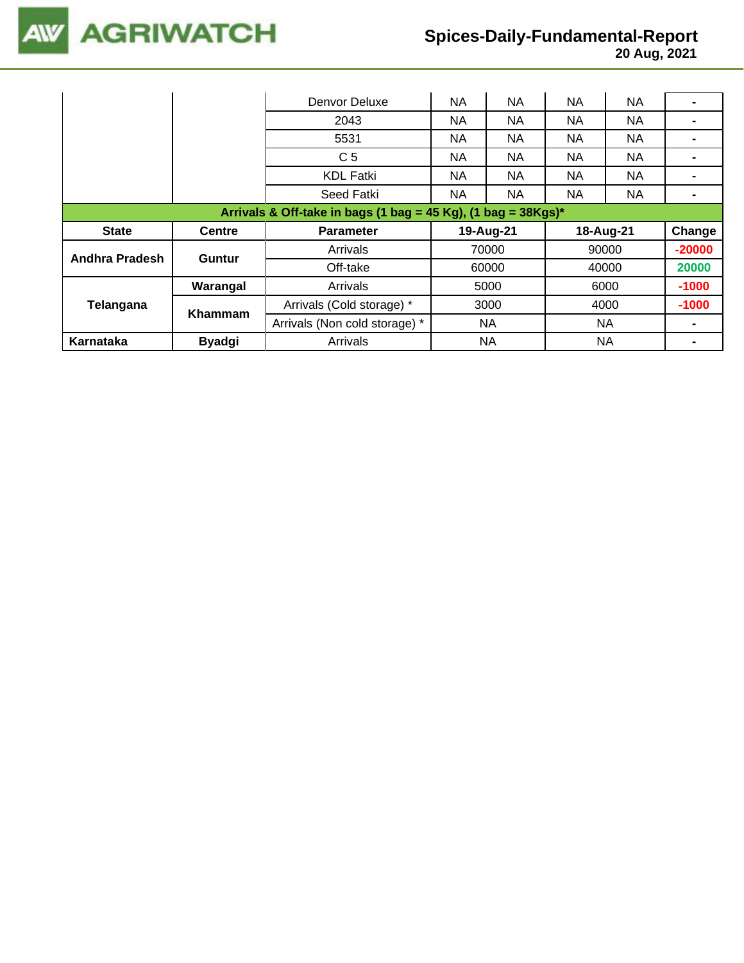

|                                                                  |               | Denvor Deluxe                 | <b>NA</b> | NA        | <b>NA</b> | <b>NA</b> |          |  |
|------------------------------------------------------------------|---------------|-------------------------------|-----------|-----------|-----------|-----------|----------|--|
|                                                                  |               | 2043                          | <b>NA</b> | NA        | <b>NA</b> | <b>NA</b> |          |  |
|                                                                  |               | 5531                          | NA.       | NA.       | NA.       | NA.       |          |  |
|                                                                  |               | C <sub>5</sub>                | NA.       | NA.       | <b>NA</b> | NA.       |          |  |
|                                                                  |               | <b>KDL Fatki</b>              | NA.       | NA.       | NA.       | NA.       |          |  |
|                                                                  |               | Seed Fatki                    | <b>NA</b> | <b>NA</b> | <b>NA</b> | <b>NA</b> |          |  |
| Arrivals & Off-take in bags (1 bag = 45 Kg), (1 bag = $38Kgs$ )* |               |                               |           |           |           |           |          |  |
|                                                                  |               |                               |           |           |           |           |          |  |
| <b>State</b>                                                     | <b>Centre</b> | <b>Parameter</b>              |           | 19-Aug-21 |           | 18-Aug-21 | Change   |  |
|                                                                  |               | Arrivals                      |           | 70000     |           | 90000     | $-20000$ |  |
| Andhra Pradesh                                                   | Guntur        | Off-take                      |           | 60000     |           | 40000     | 20000    |  |
|                                                                  | Warangal      | Arrivals                      |           | 5000      |           | 6000      | $-1000$  |  |
| Telangana                                                        |               | Arrivals (Cold storage) *     |           | 3000      |           | 4000      | $-1000$  |  |
|                                                                  | Khammam       | Arrivals (Non cold storage) * |           | NA.       |           | NA.       |          |  |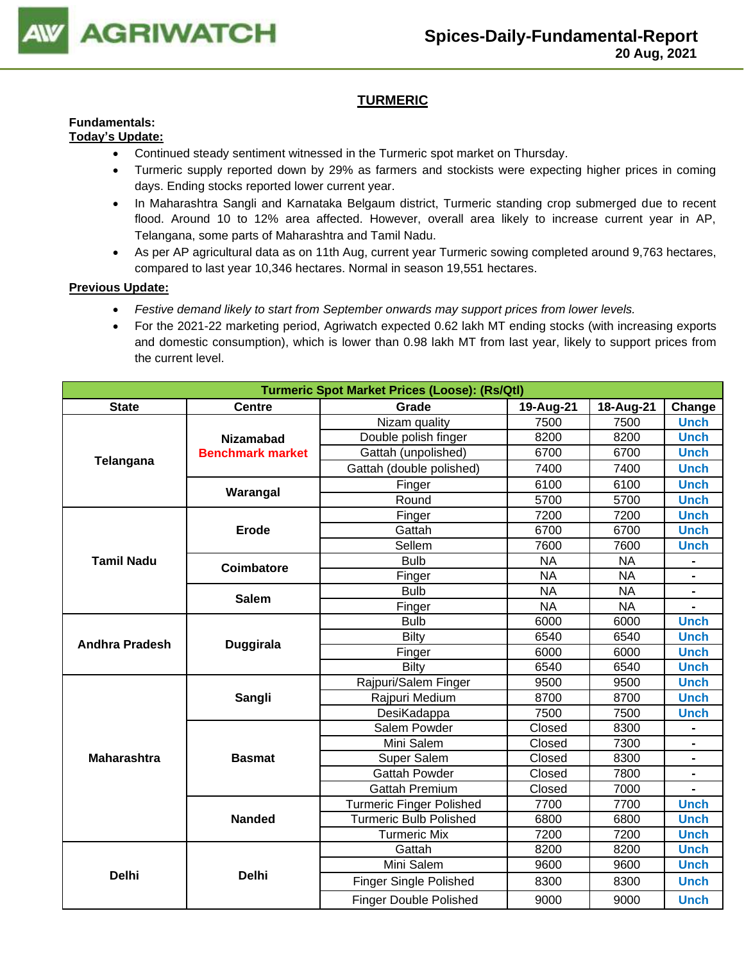

# **TURMERIC**

#### **Fundamentals: Today's Update:**

- Continued steady sentiment witnessed in the Turmeric spot market on Thursday.
- Turmeric supply reported down by 29% as farmers and stockists were expecting higher prices in coming days. Ending stocks reported lower current year.
- In Maharashtra Sangli and Karnataka Belgaum district, Turmeric standing crop submerged due to recent flood. Around 10 to 12% area affected. However, overall area likely to increase current year in AP, Telangana, some parts of Maharashtra and Tamil Nadu.
- As per AP agricultural data as on 11th Aug, current year Turmeric sowing completed around 9,763 hectares, compared to last year 10,346 hectares. Normal in season 19,551 hectares.

- *Festive demand likely to start from September onwards may support prices from lower levels.*
- For the 2021-22 marketing period, Agriwatch expected 0.62 lakh MT ending stocks (with increasing exports and domestic consumption), which is lower than 0.98 lakh MT from last year, likely to support prices from the current level.

|                    |                         | <b>Turmeric Spot Market Prices (Loose): (Rs/Qtl)</b> |           |                                                                                                                                                                                                                                                                                                                                                                                                                                    |             |  |  |  |  |  |
|--------------------|-------------------------|------------------------------------------------------|-----------|------------------------------------------------------------------------------------------------------------------------------------------------------------------------------------------------------------------------------------------------------------------------------------------------------------------------------------------------------------------------------------------------------------------------------------|-------------|--|--|--|--|--|
| <b>State</b>       | <b>Centre</b>           | Grade                                                | 19-Aug-21 | 18-Aug-21                                                                                                                                                                                                                                                                                                                                                                                                                          | Change      |  |  |  |  |  |
|                    |                         | Nizam quality                                        | 7500      | 7500                                                                                                                                                                                                                                                                                                                                                                                                                               | <b>Unch</b> |  |  |  |  |  |
|                    | <b>Nizamabad</b>        | Double polish finger                                 | 8200      | 8200                                                                                                                                                                                                                                                                                                                                                                                                                               | <b>Unch</b> |  |  |  |  |  |
|                    | <b>Benchmark market</b> | Gattah (unpolished)                                  | 6700      | 6700                                                                                                                                                                                                                                                                                                                                                                                                                               | <b>Unch</b> |  |  |  |  |  |
| Telangana          |                         | Gattah (double polished)                             | 7400      | 7400                                                                                                                                                                                                                                                                                                                                                                                                                               | <b>Unch</b> |  |  |  |  |  |
|                    |                         | Finger                                               | 6100      | 6100                                                                                                                                                                                                                                                                                                                                                                                                                               | <b>Unch</b> |  |  |  |  |  |
|                    | Warangal                | Round                                                | 5700      | 5700                                                                                                                                                                                                                                                                                                                                                                                                                               | <b>Unch</b> |  |  |  |  |  |
|                    |                         | Finger                                               | 7200      | 7200                                                                                                                                                                                                                                                                                                                                                                                                                               | <b>Unch</b> |  |  |  |  |  |
|                    | Erode                   | Gattah                                               | 6700      | 6700                                                                                                                                                                                                                                                                                                                                                                                                                               | <b>Unch</b> |  |  |  |  |  |
|                    |                         | Sellem                                               | 7600      | 7600                                                                                                                                                                                                                                                                                                                                                                                                                               | <b>Unch</b> |  |  |  |  |  |
| <b>Tamil Nadu</b>  | <b>Coimbatore</b>       | <b>Bulb</b>                                          | <b>NA</b> | <b>NA</b><br><b>NA</b><br>$\blacksquare$<br><b>NA</b><br>$\blacksquare$<br><b>NA</b><br>6000<br><b>Unch</b><br>6540<br><b>Unch</b><br><b>Unch</b><br>6000<br>6540<br><b>Unch</b><br>9500<br><b>Unch</b><br><b>Unch</b><br>8700<br>7500<br><b>Unch</b><br>8300<br>7300<br>8300<br>$\blacksquare$<br>7800<br>7000<br>7700<br><b>Unch</b><br>6800<br><b>Unch</b><br>7200<br><b>Unch</b><br>8200<br><b>Unch</b><br>9600<br><b>Unch</b> |             |  |  |  |  |  |
|                    |                         | Finger                                               | <b>NA</b> |                                                                                                                                                                                                                                                                                                                                                                                                                                    |             |  |  |  |  |  |
|                    | <b>Salem</b>            | <b>Bulb</b>                                          | <b>NA</b> |                                                                                                                                                                                                                                                                                                                                                                                                                                    |             |  |  |  |  |  |
|                    |                         | Finger                                               | <b>NA</b> | 8300<br><b>Unch</b><br>9000<br><b>Unch</b>                                                                                                                                                                                                                                                                                                                                                                                         |             |  |  |  |  |  |
|                    |                         | <b>Bulb</b>                                          | 6000      |                                                                                                                                                                                                                                                                                                                                                                                                                                    |             |  |  |  |  |  |
| Andhra Pradesh     | <b>Duggirala</b>        | <b>Bilty</b>                                         | 6540      |                                                                                                                                                                                                                                                                                                                                                                                                                                    |             |  |  |  |  |  |
|                    |                         | Finger                                               | 6000      |                                                                                                                                                                                                                                                                                                                                                                                                                                    |             |  |  |  |  |  |
|                    |                         | <b>Bilty</b>                                         | 6540      |                                                                                                                                                                                                                                                                                                                                                                                                                                    |             |  |  |  |  |  |
|                    |                         | Rajpuri/Salem Finger                                 | 9500      |                                                                                                                                                                                                                                                                                                                                                                                                                                    |             |  |  |  |  |  |
|                    | Sangli                  | Rajpuri Medium                                       | 8700      |                                                                                                                                                                                                                                                                                                                                                                                                                                    |             |  |  |  |  |  |
|                    |                         | DesiKadappa                                          | 7500      |                                                                                                                                                                                                                                                                                                                                                                                                                                    |             |  |  |  |  |  |
|                    |                         | Salem Powder                                         | Closed    |                                                                                                                                                                                                                                                                                                                                                                                                                                    |             |  |  |  |  |  |
|                    |                         | Mini Salem                                           | Closed    |                                                                                                                                                                                                                                                                                                                                                                                                                                    |             |  |  |  |  |  |
| <b>Maharashtra</b> | <b>Basmat</b>           | <b>Super Salem</b>                                   | Closed    |                                                                                                                                                                                                                                                                                                                                                                                                                                    |             |  |  |  |  |  |
|                    |                         | <b>Gattah Powder</b>                                 | Closed    |                                                                                                                                                                                                                                                                                                                                                                                                                                    |             |  |  |  |  |  |
|                    |                         | <b>Gattah Premium</b>                                | Closed    |                                                                                                                                                                                                                                                                                                                                                                                                                                    |             |  |  |  |  |  |
|                    |                         | <b>Turmeric Finger Polished</b>                      | 7700      |                                                                                                                                                                                                                                                                                                                                                                                                                                    |             |  |  |  |  |  |
|                    | <b>Nanded</b>           | Turmeric Bulb Polished                               | 6800      |                                                                                                                                                                                                                                                                                                                                                                                                                                    |             |  |  |  |  |  |
|                    |                         | <b>Turmeric Mix</b>                                  | 7200      |                                                                                                                                                                                                                                                                                                                                                                                                                                    |             |  |  |  |  |  |
|                    |                         | Gattah                                               | 8200      |                                                                                                                                                                                                                                                                                                                                                                                                                                    |             |  |  |  |  |  |
| <b>Delhi</b>       | <b>Delhi</b>            | Mini Salem                                           | 9600      |                                                                                                                                                                                                                                                                                                                                                                                                                                    |             |  |  |  |  |  |
|                    |                         | <b>Finger Single Polished</b>                        | 8300      |                                                                                                                                                                                                                                                                                                                                                                                                                                    |             |  |  |  |  |  |
|                    |                         | <b>Finger Double Polished</b>                        | 9000      |                                                                                                                                                                                                                                                                                                                                                                                                                                    |             |  |  |  |  |  |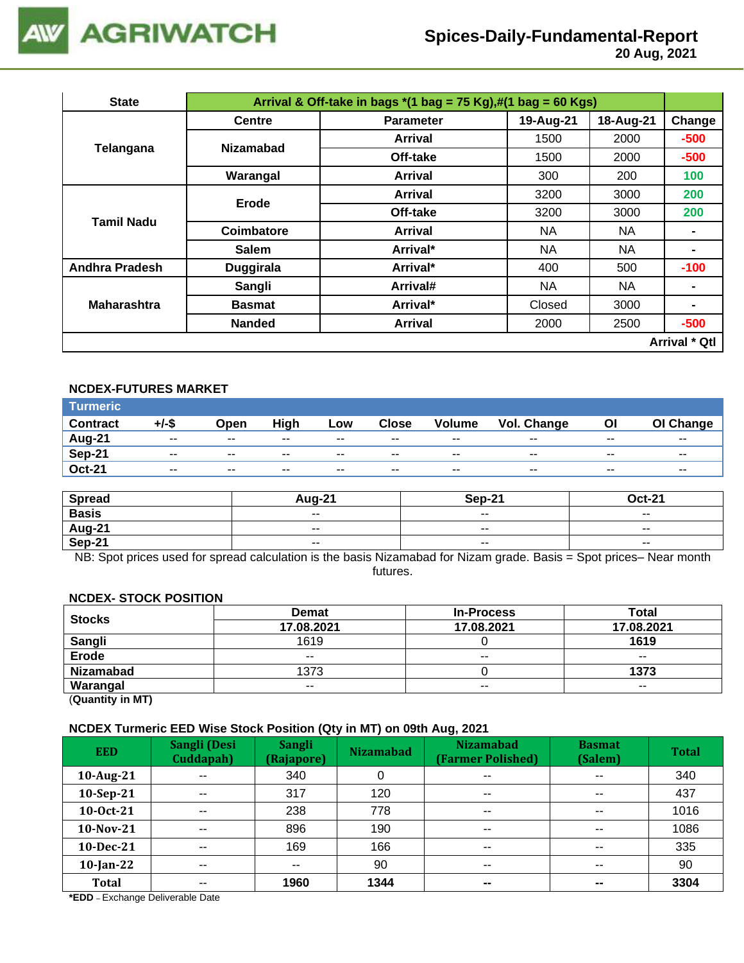

 **20 Aug, 2021**

| <b>State</b>          |                  | Arrival & Off-take in bags $*(1 \text{ bag} = 75 \text{ Kg}),\#(1 \text{ bag} = 60 \text{ Kg})$ |           |           |                      |  |  |  |  |  |
|-----------------------|------------------|-------------------------------------------------------------------------------------------------|-----------|-----------|----------------------|--|--|--|--|--|
|                       | <b>Centre</b>    | <b>Parameter</b>                                                                                | 19-Aug-21 | 18-Aug-21 | Change               |  |  |  |  |  |
| Telangana             | <b>Nizamabad</b> | <b>Arrival</b>                                                                                  | 1500      | 2000      | $-500$               |  |  |  |  |  |
|                       |                  | Off-take                                                                                        | 1500      | 2000      | $-500$               |  |  |  |  |  |
|                       | Warangal         | <b>Arrival</b>                                                                                  | 300       | 200       | 100                  |  |  |  |  |  |
|                       | Erode            | <b>Arrival</b>                                                                                  | 3200      | 3000      | 200                  |  |  |  |  |  |
| Tamil Nadu            |                  | Off-take                                                                                        | 3200      | 3000      | 200                  |  |  |  |  |  |
|                       | Coimbatore       | Arrival                                                                                         | <b>NA</b> | <b>NA</b> |                      |  |  |  |  |  |
|                       | <b>Salem</b>     | Arrival*                                                                                        | NA        | <b>NA</b> | ۰                    |  |  |  |  |  |
| <b>Andhra Pradesh</b> | <b>Duggirala</b> | Arrival*                                                                                        | 400       | 500       | $-100$               |  |  |  |  |  |
|                       | Sangli           | Arrival#                                                                                        | NA        | <b>NA</b> | $\blacksquare$       |  |  |  |  |  |
| <b>Maharashtra</b>    | <b>Basmat</b>    | Arrival*                                                                                        | Closed    | 3000      | ۰                    |  |  |  |  |  |
|                       | <b>Nanded</b>    | <b>Arrival</b>                                                                                  | 2000      | 2500      | $-500$               |  |  |  |  |  |
|                       |                  |                                                                                                 |           |           | <b>Arrival * Qtl</b> |  |  |  |  |  |

#### **NCDEX-FUTURES MARKET**

| <b>Turmeric</b> |               |       |       |        |              |               |             |       |           |
|-----------------|---------------|-------|-------|--------|--------------|---------------|-------------|-------|-----------|
| <b>Contract</b> | +/-\$         | Open  | High  | Low    | <b>Close</b> | <b>Volume</b> | Vol. Change | ΟI    | OI Change |
| Aug-21          | $\sim$ $\sim$ | $- -$ | $- -$ | $\sim$ | $- -$        | $\sim$ $\sim$ | $- -$       | $- -$ | $- -$     |
| <b>Sep-21</b>   | $- -$         | $- -$ | $- -$ | $- -$  | $- -$        | $- -$         | $- -$       | --    | $- -$     |
| <b>Oct-21</b>   | $\sim$ $\sim$ | $- -$ | $- -$ | $- -$  | $- -$        | $- -$         | $- -$       | $- -$ | $- -$     |

| <b>Spread</b> | <b>Aug-21</b> | Sep-21        | <b>Oct-21</b>            |
|---------------|---------------|---------------|--------------------------|
| <b>Basis</b>  | $- -$         | $- -$         | $- -$                    |
| <b>Aug-21</b> | $\sim$ $\sim$ | $- -$         | $\overline{\phantom{a}}$ |
| <b>Sep-21</b> | $\sim$ $\sim$ | $\sim$ $\sim$ | $\overline{\phantom{a}}$ |

NB: Spot prices used for spread calculation is the basis Nizamabad for Nizam grade. Basis = Spot prices– Near month futures.

#### **NCDEX- STOCK POSITION**

| <b>Stocks</b>    | <b>Demat</b> | <b>In-Process</b> | Total         |
|------------------|--------------|-------------------|---------------|
|                  | 17.08.2021   | 17.08.2021        | 17.08.2021    |
| <b>Sangli</b>    | 1619         |                   | 1619          |
| <b>Erode</b>     | $- -$        | $- -$             | $- -$         |
| <b>Nizamabad</b> | 1373         |                   | 1373          |
| Warangal         | $- -$        | $\sim$ $\sim$     | $\sim$ $\sim$ |
|                  |              |                   |               |

(**Quantity in MT)**

#### **NCDEX Turmeric EED Wise Stock Position (Qty in MT) on 09th Aug, 2021**

| <b>EED</b>   | Sangli (Desi<br>Cuddapah) | <b>Sangli</b><br>(Rajapore) | . .<br><b>Nizamabad</b> | <b>Nizamabad</b><br>(Farmer Polished) | <b>Basmat</b><br>(Salem) | <b>Total</b> |
|--------------|---------------------------|-----------------------------|-------------------------|---------------------------------------|--------------------------|--------------|
| 10-Aug-21    | $- -$                     | 340                         |                         | $\sim$ $\sim$                         | $\overline{\phantom{a}}$ | 340          |
| $10-Sep-21$  | $\sim$ $\sim$             | 317                         | 120                     | $\sim$ $\sim$                         | $\sim$ $\sim$            | 437          |
| 10-0ct-21    | $\sim$ $\sim$             | 238                         | 778                     | $\overline{\phantom{a}}$              | $\sim$ $\sim$            | 1016         |
| 10-Nov-21    | $\sim$ $\sim$             | 896                         | 190                     | $\sim$ $\sim$                         | $\sim$ $\sim$            | 1086         |
| 10-Dec-21    | $- -$                     | 169                         | 166                     | $\sim$ $\sim$                         | $\sim$ $\sim$            | 335          |
| $10$ -Jan-22 | $- -$                     | $- -$                       | 90                      | $\sim$ $\sim$                         | $\sim$ $\sim$            | 90           |
| <b>Total</b> | $- -$                     | 1960                        | 1344                    | $\sim$                                | $\sim$                   | 3304         |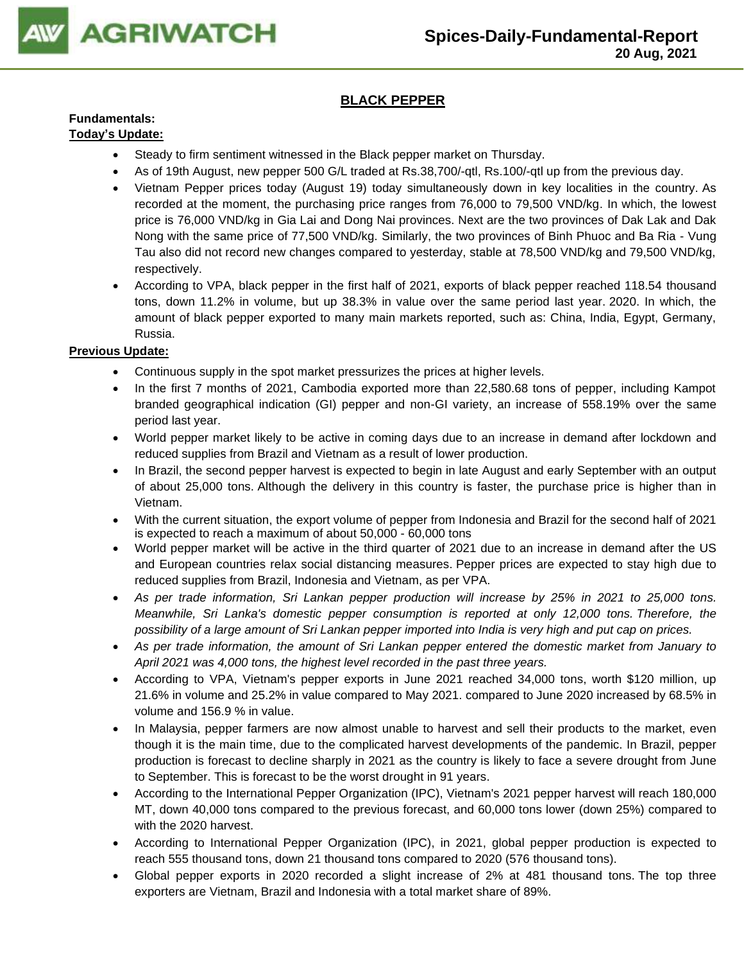

# **BLACK PEPPER**

# **Fundamentals:**

# **Today's Update:**

- Steady to firm sentiment witnessed in the Black pepper market on Thursday.
- As of 19th August, new pepper 500 G/L traded at Rs.38,700/-qtl, Rs.100/-qtl up from the previous day.
- Vietnam Pepper prices today (August 19) today simultaneously down in key localities in the country. As recorded at the moment, the purchasing price ranges from 76,000 to 79,500 VND/kg. In which, the lowest price is 76,000 VND/kg in Gia Lai and Dong Nai provinces. Next are the two provinces of Dak Lak and Dak Nong with the same price of 77,500 VND/kg. Similarly, the two provinces of Binh Phuoc and Ba Ria - Vung Tau also did not record new changes compared to yesterday, stable at 78,500 VND/kg and 79,500 VND/kg, respectively.
- According to VPA, black pepper in the first half of 2021, exports of black pepper reached 118.54 thousand tons, down 11.2% in volume, but up 38.3% in value over the same period last year. 2020. In which, the amount of black pepper exported to many main markets reported, such as: China, India, Egypt, Germany, Russia.

- Continuous supply in the spot market pressurizes the prices at higher levels.
- In the first 7 months of 2021, Cambodia exported more than 22,580.68 tons of pepper, including Kampot branded geographical indication (GI) pepper and non-GI variety, an increase of 558.19% over the same period last year.
- World pepper market likely to be active in coming days due to an increase in demand after lockdown and reduced supplies from Brazil and Vietnam as a result of lower production.
- In Brazil, the second pepper harvest is expected to begin in late August and early September with an output of about 25,000 tons. Although the delivery in this country is faster, the purchase price is higher than in Vietnam.
- With the current situation, the export volume of pepper from Indonesia and Brazil for the second half of 2021 is expected to reach a maximum of about 50,000 - 60,000 tons
- World pepper market will be active in the third quarter of 2021 due to an increase in demand after the US and European countries relax social distancing measures. Pepper prices are expected to stay high due to reduced supplies from Brazil, Indonesia and Vietnam, as per VPA.
- *As per trade information, Sri Lankan pepper production will increase by 25% in 2021 to 25,000 tons. Meanwhile, Sri Lanka's domestic pepper consumption is reported at only 12,000 tons. Therefore, the possibility of a large amount of Sri Lankan pepper imported into India is very high and put cap on prices.*
- *As per trade information, the amount of Sri Lankan pepper entered the domestic market from January to April 2021 was 4,000 tons, the highest level recorded in the past three years.*
- According to VPA, Vietnam's pepper exports in June 2021 reached 34,000 tons, worth \$120 million, up 21.6% in volume and 25.2% in value compared to May 2021. compared to June 2020 increased by 68.5% in volume and 156.9 % in value.
- In Malaysia, pepper farmers are now almost unable to harvest and sell their products to the market, even though it is the main time, due to the complicated harvest developments of the pandemic. In Brazil, pepper production is forecast to decline sharply in 2021 as the country is likely to face a severe drought from June to September. This is forecast to be the worst drought in 91 years.
- According to the International Pepper Organization (IPC), Vietnam's 2021 pepper harvest will reach 180,000 MT, down 40,000 tons compared to the previous forecast, and 60,000 tons lower (down 25%) compared to with the 2020 harvest.
- According to International Pepper Organization (IPC), in 2021, global pepper production is expected to reach 555 thousand tons, down 21 thousand tons compared to 2020 (576 thousand tons).
- Global pepper exports in 2020 recorded a slight increase of 2% at 481 thousand tons. The top three exporters are Vietnam, Brazil and Indonesia with a total market share of 89%.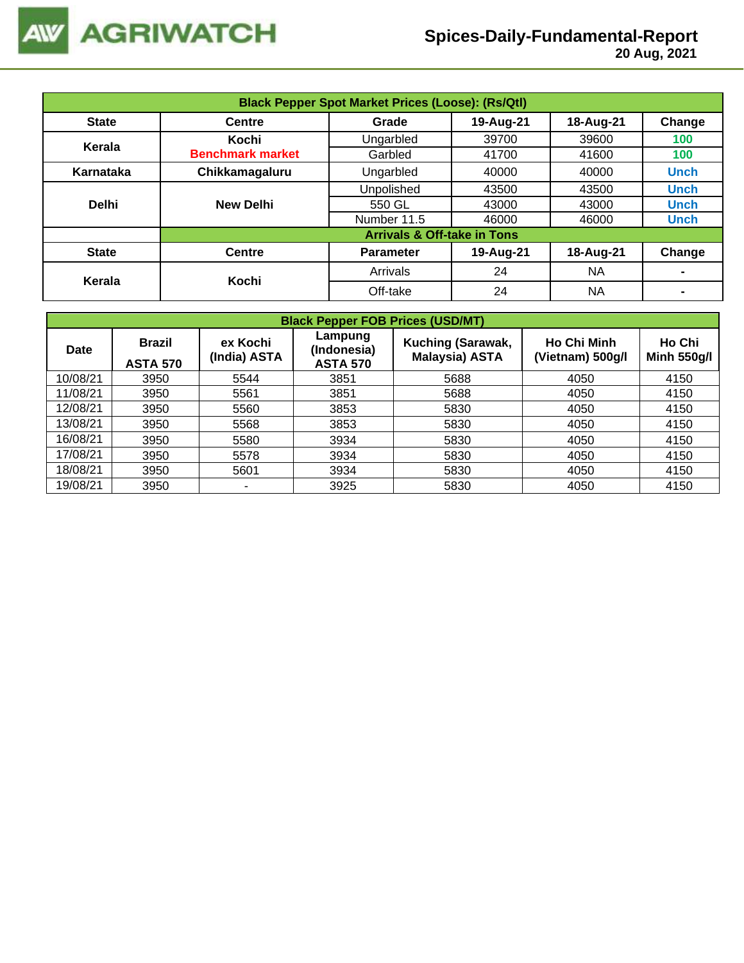

| <b>Black Pepper Spot Market Prices (Loose): (Rs/Qtl)</b> |                         |                                           |           |           |                |  |  |  |
|----------------------------------------------------------|-------------------------|-------------------------------------------|-----------|-----------|----------------|--|--|--|
| <b>State</b>                                             | <b>Centre</b>           | 19-Aug-21<br>Change<br>18-Aug-21<br>Grade |           |           |                |  |  |  |
| Kerala                                                   | Kochi                   | Ungarbled                                 | 39700     | 39600     | 100            |  |  |  |
|                                                          | <b>Benchmark market</b> | Garbled                                   | 41700     | 41600     | 100            |  |  |  |
| Karnataka                                                | Chikkamagaluru          | Ungarbled                                 | 40000     | 40000     | <b>Unch</b>    |  |  |  |
|                                                          |                         | Unpolished                                | 43500     | 43500     | <b>Unch</b>    |  |  |  |
| <b>Delhi</b>                                             | <b>New Delhi</b>        | 550 GL<br>43000<br>43000                  |           |           |                |  |  |  |
|                                                          |                         | Number 11.5                               | 46000     | 46000     | <b>Unch</b>    |  |  |  |
|                                                          |                         | <b>Arrivals &amp; Off-take in Tons</b>    |           |           |                |  |  |  |
| <b>State</b>                                             | <b>Centre</b>           | <b>Parameter</b>                          | 19-Aug-21 | 18-Aug-21 | Change         |  |  |  |
|                                                          | Kochi                   | Arrivals<br>24<br><b>NA</b>               |           |           |                |  |  |  |
| Kerala                                                   |                         | Off-take                                  | 24        | NA        | $\blacksquare$ |  |  |  |

| <b>Black Pepper FOB Prices (USD/MT)</b> |                                  |                          |                                           |                                            |                                        |                              |  |  |  |
|-----------------------------------------|----------------------------------|--------------------------|-------------------------------------------|--------------------------------------------|----------------------------------------|------------------------------|--|--|--|
| <b>Date</b>                             | <b>Brazil</b><br><b>ASTA 570</b> | ex Kochi<br>(India) ASTA | Lampung<br>(Indonesia)<br><b>ASTA 570</b> | Kuching (Sarawak,<br><b>Malaysia) ASTA</b> | <b>Ho Chi Minh</b><br>(Vietnam) 500g/l | Ho Chi<br><b>Minh 550g/l</b> |  |  |  |
| 10/08/21                                | 3950                             | 5544                     | 3851                                      | 5688                                       | 4050                                   | 4150                         |  |  |  |
| 11/08/21                                | 3950                             | 5561                     | 3851                                      | 5688                                       | 4050                                   | 4150                         |  |  |  |
| 12/08/21                                | 3950                             | 5560                     | 3853                                      | 5830                                       | 4050                                   | 4150                         |  |  |  |
| 13/08/21                                | 3950                             | 5568                     | 3853                                      | 5830                                       | 4050                                   | 4150                         |  |  |  |
| 16/08/21                                | 3950                             | 5580                     | 3934                                      | 5830                                       | 4050                                   | 4150                         |  |  |  |
| 17/08/21                                | 3950                             | 5578                     | 3934                                      | 5830                                       | 4050                                   | 4150                         |  |  |  |
| 18/08/21                                | 3950                             | 5601                     | 3934                                      | 5830                                       | 4050                                   | 4150                         |  |  |  |
| 19/08/21                                | 3950                             | ۰                        | 3925                                      | 5830                                       | 4050                                   | 4150                         |  |  |  |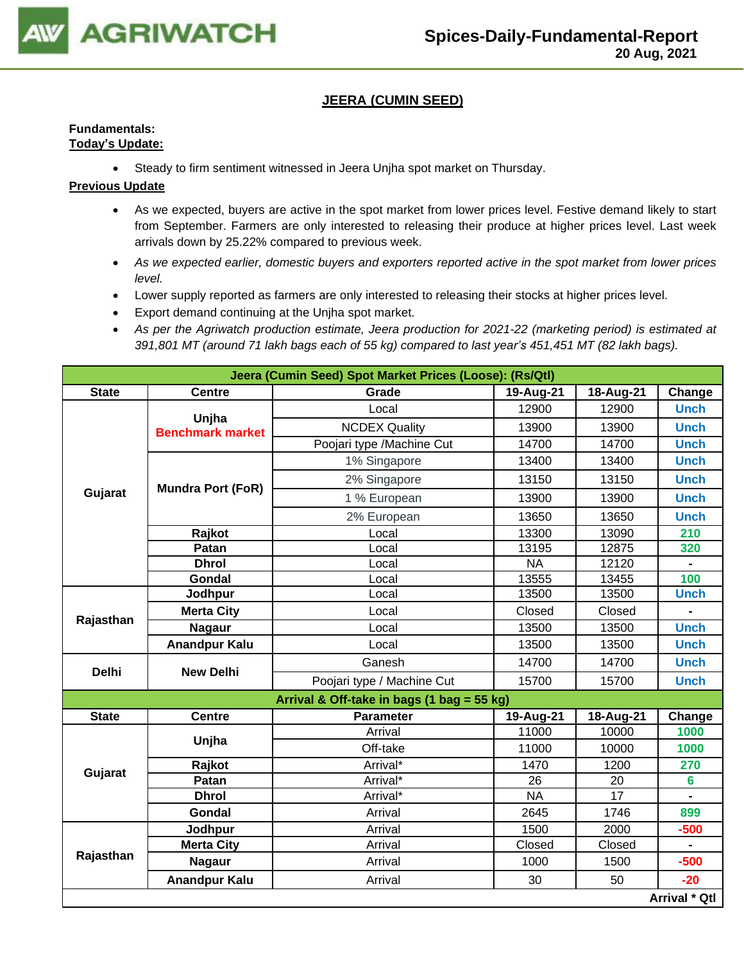

## **JEERA (CUMIN SEED)**

#### **Fundamentals: Today's Update:**

• Steady to firm sentiment witnessed in Jeera Unjha spot market on Thursday.

- As we expected, buyers are active in the spot market from lower prices level. Festive demand likely to start from September. Farmers are only interested to releasing their produce at higher prices level. Last week arrivals down by 25.22% compared to previous week.
- *As we expected earlier, domestic buyers and exporters reported active in the spot market from lower prices level.*
- Lower supply reported as farmers are only interested to releasing their stocks at higher prices level.
- Export demand continuing at the Unjha spot market.
- *As per the Agriwatch production estimate, Jeera production for 2021-22 (marketing period) is estimated at 391,801 MT (around 71 lakh bags each of 55 kg) compared to last year's 451,451 MT (82 lakh bags).*

|              |                                  | Jeera (Cumin Seed) Spot Market Prices (Loose): (Rs/Qtl) |           |           |                |
|--------------|----------------------------------|---------------------------------------------------------|-----------|-----------|----------------|
| <b>State</b> | <b>Centre</b>                    | Grade                                                   | 19-Aug-21 | 18-Aug-21 | Change         |
|              |                                  | Local                                                   | 12900     | 12900     | <b>Unch</b>    |
|              | Unjha<br><b>Benchmark market</b> | <b>NCDEX Quality</b>                                    | 13900     | 13900     | <b>Unch</b>    |
|              |                                  | Poojari type /Machine Cut                               | 14700     | 14700     | <b>Unch</b>    |
|              |                                  | 1% Singapore                                            | 13400     | 13400     | <b>Unch</b>    |
|              |                                  | 2% Singapore                                            | 13150     | 13150     | <b>Unch</b>    |
| Gujarat      | <b>Mundra Port (FoR)</b>         | 1 % European                                            | 13900     | 13900     | <b>Unch</b>    |
|              |                                  | 2% European                                             | 13650     | 13650     | <b>Unch</b>    |
|              | Rajkot                           | Local                                                   | 13300     | 13090     | 210            |
|              | Patan                            | Local                                                   | 13195     | 12875     | 320            |
|              | <b>Dhrol</b>                     | Local                                                   | <b>NA</b> | 12120     |                |
|              | Gondal                           | Local                                                   | 13555     | 13455     | 100            |
| Rajasthan    | Jodhpur                          | Local                                                   | 13500     | 13500     | <b>Unch</b>    |
|              | <b>Merta City</b>                | Local                                                   | Closed    | Closed    |                |
|              | <b>Nagaur</b>                    | Local                                                   | 13500     | 13500     | <b>Unch</b>    |
|              | <b>Anandpur Kalu</b>             | Local                                                   | 13500     | 13500     | <b>Unch</b>    |
| <b>Delhi</b> | <b>New Delhi</b>                 | Ganesh                                                  | 14700     | 14700     | <b>Unch</b>    |
|              |                                  | Poojari type / Machine Cut                              | 15700     | 15700     | <b>Unch</b>    |
|              |                                  | Arrival & Off-take in bags (1 bag = 55 kg)              |           |           |                |
| <b>State</b> | <b>Centre</b>                    | <b>Parameter</b>                                        | 19-Aug-21 | 18-Aug-21 | Change         |
|              |                                  | Arrival                                                 | 11000     | 10000     | 1000           |
|              | Unjha                            | Off-take                                                | 11000     | 10000     | 1000           |
|              | Rajkot                           | Arrival*                                                | 1470      | 1200      | 270            |
| Gujarat      | Patan                            | Arrival*                                                | 26        | 20        | $6\phantom{a}$ |
|              | <b>Dhrol</b>                     | Arrival*                                                | <b>NA</b> | 17        | $\blacksquare$ |
|              | Gondal                           | Arrival                                                 | 2645      | 1746      | 899            |
|              | Jodhpur                          | Arrival                                                 | 1500      | 2000      | $-500$         |
|              | <b>Merta City</b>                | Arrival                                                 | Closed    | Closed    | $\blacksquare$ |
| Rajasthan    | <b>Nagaur</b>                    | Arrival                                                 | 1000      | 1500      | $-500$         |
|              | <b>Anandpur Kalu</b>             | Arrival                                                 | 30        | 50        | $-20$          |
|              |                                  |                                                         |           |           | Arrival * Qtl  |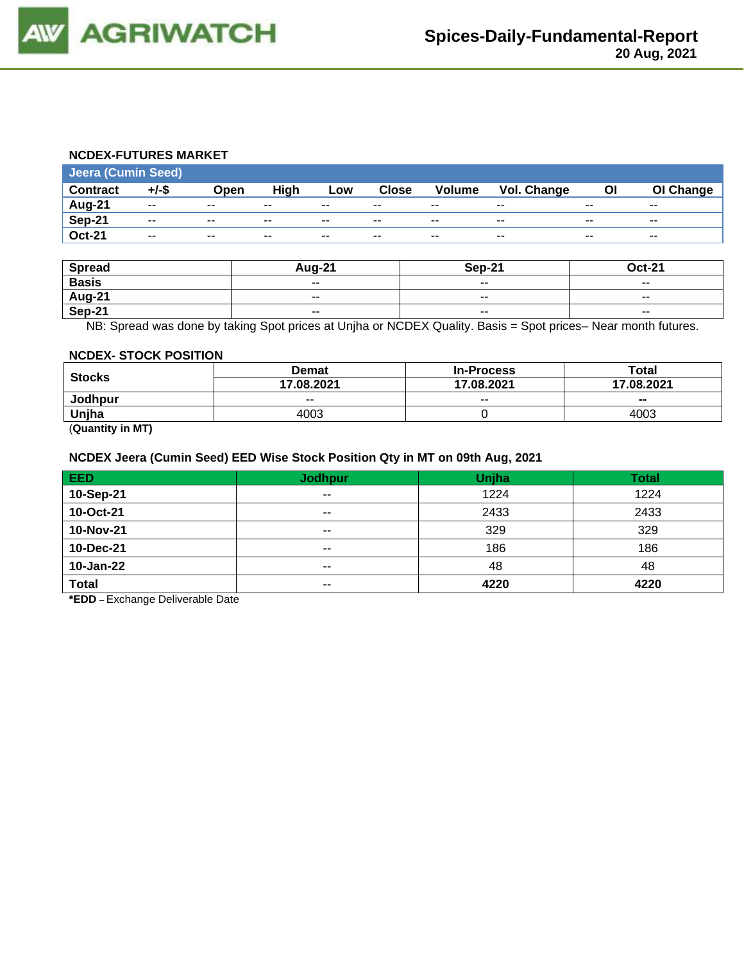

#### **NCDEX-FUTURES MARKET**

| <b>Jeera (Cumin Seed)</b> |                          |               |       |       |              |               |                    |       |           |
|---------------------------|--------------------------|---------------|-------|-------|--------------|---------------|--------------------|-------|-----------|
| <b>Contract</b>           | $+/-$ \$                 | Open          | High  | Low   | <b>Close</b> | <b>Volume</b> | <b>Vol. Change</b> | Οl    | OI Change |
| Aug-21                    | $- -$                    | $- -$         | $- -$ | $- -$ | $- -$        | $- -$         | $- -$              | $- -$ | $- -$     |
| Sep-21                    | $- -$                    | $- -$         | $- -$ | $- -$ | $- -$        | $- -$         | $- -$              | $- -$ | $- -$     |
| <b>Oct-21</b>             | $\overline{\phantom{a}}$ | $\sim$ $\sim$ | $- -$ | $- -$ | $- -$        | $- -$         | $- -$              | $- -$ | $- -$     |

| <b>Spread</b> | Aug-21                   | Sep-21 | <b>Oct-21</b> |
|---------------|--------------------------|--------|---------------|
| <b>Basis</b>  | $\sim$ $\sim$            | $- -$  | $- -$         |
| <b>Aug-21</b> | $\overline{\phantom{a}}$ | $- -$  | $- -$         |
| Sep-21        | $\overline{\phantom{a}}$ | $- -$  | $- -$         |

NB: Spread was done by taking Spot prices at Unjha or NCDEX Quality. Basis = Spot prices– Near month futures.

#### **NCDEX- STOCK POSITION**

|               | <b>Demat</b> | <b>In-Process</b> | Total                    |  |
|---------------|--------------|-------------------|--------------------------|--|
| <b>Stocks</b> | 17.08.2021   | 17.08.2021        | 17.08.2021               |  |
| Jodhpur       | $- -$        | $- -$             | $\overline{\phantom{a}}$ |  |
| Unjha         | 4003         |                   | 4003                     |  |
| _______       |              |                   |                          |  |

(**Quantity in MT)**

# **NCDEX Jeera (Cumin Seed) EED Wise Stock Position Qty in MT on 09th Aug, 2021**

| EED          | <b>Jodhpur</b> | Unjha | <b>Total</b> |
|--------------|----------------|-------|--------------|
| 10-Sep-21    | $- -$          | 1224  | 1224         |
| 10-Oct-21    | $- -$          | 2433  | 2433         |
| 10-Nov-21    | $\sim$         | 329   | 329          |
| 10-Dec-21    | $- -$          | 186   | 186          |
| 10-Jan-22    | $- -$          | 48    | 48           |
| <b>Total</b> | $\sim$ $\sim$  | 4220  | 4220         |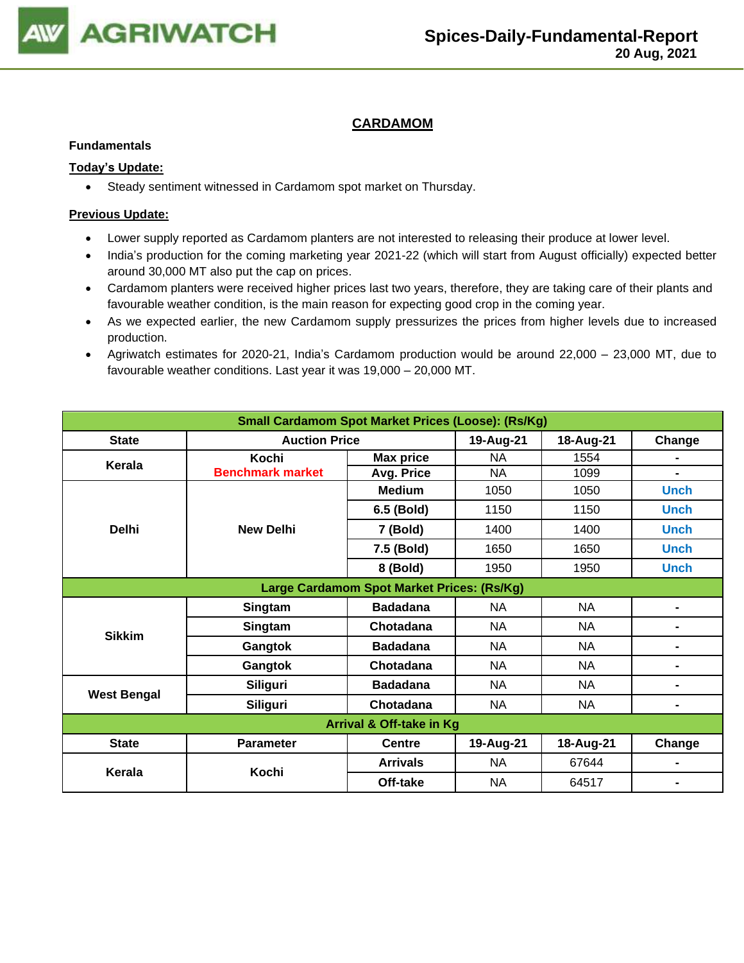

# **CARDAMOM**

#### **Fundamentals**

#### **Today's Update:**

• Steady sentiment witnessed in Cardamom spot market on Thursday.

- Lower supply reported as Cardamom planters are not interested to releasing their produce at lower level.
- India's production for the coming marketing year 2021-22 (which will start from August officially) expected better around 30,000 MT also put the cap on prices.
- Cardamom planters were received higher prices last two years, therefore, they are taking care of their plants and favourable weather condition, is the main reason for expecting good crop in the coming year.
- As we expected earlier, the new Cardamom supply pressurizes the prices from higher levels due to increased production.
- Agriwatch estimates for 2020-21, India's Cardamom production would be around 22,000 23,000 MT, due to favourable weather conditions. Last year it was 19,000 – 20,000 MT.

| <b>Small Cardamom Spot Market Prices (Loose): (Rs/Kg)</b> |                         |                 |           |           |                |  |  |  |
|-----------------------------------------------------------|-------------------------|-----------------|-----------|-----------|----------------|--|--|--|
| <b>State</b>                                              | <b>Auction Price</b>    |                 | 19-Aug-21 | 18-Aug-21 | Change         |  |  |  |
| Kerala                                                    | Kochi                   | Max price       | ΝA        | 1554      |                |  |  |  |
|                                                           | <b>Benchmark market</b> | Avg. Price      | <b>NA</b> | 1099      |                |  |  |  |
|                                                           |                         | <b>Medium</b>   | 1050      | 1050      | <b>Unch</b>    |  |  |  |
|                                                           |                         | 6.5 (Bold)      | 1150      | 1150      | <b>Unch</b>    |  |  |  |
| <b>Delhi</b>                                              | <b>New Delhi</b>        | 7 (Bold)        | 1400      | 1400      | <b>Unch</b>    |  |  |  |
|                                                           |                         | 7.5 (Bold)      | 1650      | 1650      | <b>Unch</b>    |  |  |  |
|                                                           |                         | 8 (Bold)        | 1950      | 1950      | <b>Unch</b>    |  |  |  |
| Large Cardamom Spot Market Prices: (Rs/Kg)                |                         |                 |           |           |                |  |  |  |
|                                                           | Singtam                 | <b>Badadana</b> | <b>NA</b> | NA        | ۰.             |  |  |  |
|                                                           | Singtam                 | Chotadana       | <b>NA</b> | <b>NA</b> | $\blacksquare$ |  |  |  |
| <b>Sikkim</b>                                             | Gangtok                 | <b>Badadana</b> | <b>NA</b> | <b>NA</b> | $\blacksquare$ |  |  |  |
|                                                           | Gangtok                 | Chotadana       | <b>NA</b> | <b>NA</b> | ۰              |  |  |  |
| <b>West Bengal</b>                                        | <b>Siliguri</b>         | <b>Badadana</b> | NA        | NA        | ۰              |  |  |  |
|                                                           | <b>Siliguri</b>         | Chotadana       | NA        | <b>NA</b> | Ξ.             |  |  |  |
| Arrival & Off-take in Kg                                  |                         |                 |           |           |                |  |  |  |
| <b>State</b>                                              | <b>Parameter</b>        | <b>Centre</b>   | 19-Aug-21 | 18-Aug-21 | Change         |  |  |  |
| Kerala                                                    | Kochi                   | <b>Arrivals</b> | NA        | 67644     |                |  |  |  |
|                                                           |                         | Off-take        | <b>NA</b> | 64517     |                |  |  |  |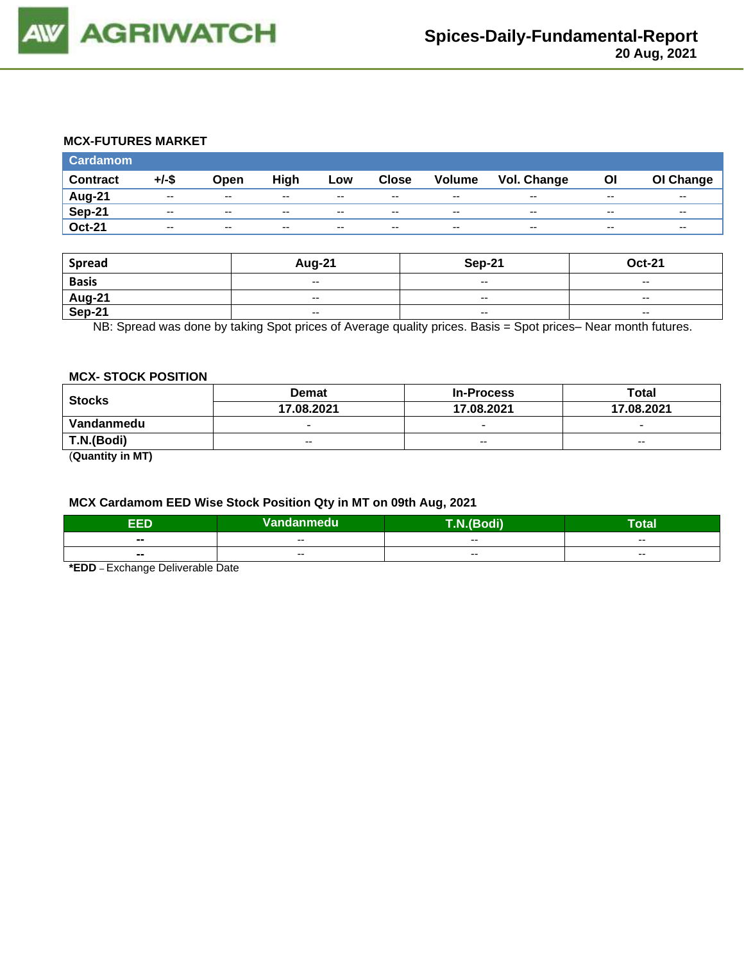

#### **MCX-FUTURES MARKET**

| <b>Cardamom</b> |          |               |       |       |              |                          |             |       |           |
|-----------------|----------|---------------|-------|-------|--------------|--------------------------|-------------|-------|-----------|
| <b>Contract</b> | $+/-$ \$ | Open          | High  | Low   | <b>Close</b> | <b>Volume</b>            | Vol. Change | OI    | OI Change |
| Aug-21          | $- -$    | $\sim$ $\sim$ | $- -$ | $- -$ | $- -$        | $- -$                    | $- -$       | $- -$ | $- -$     |
| <b>Sep-21</b>   | $- -$    | $\sim$ $\sim$ | $-$   | $- -$ | $-$          | $-$                      | $- -$       | $- -$ | $- -$     |
| <b>Oct-21</b>   | $- -$    | $-$           | $- -$ | $- -$ | $-$          | $\overline{\phantom{a}}$ | $- -$       | $- -$ | --        |

| <b>Spread</b> | Aug-21                                         | <b>Sep-21</b>            | <b>Oct-21</b>            |
|---------------|------------------------------------------------|--------------------------|--------------------------|
| <b>Basis</b>  | $\hspace{0.1mm}-\hspace{0.1mm}-\hspace{0.1mm}$ | $- -$                    | $\overline{\phantom{a}}$ |
| <b>Aug-21</b> | $\overline{\phantom{a}}$                       | $- -$                    | $- -$                    |
| <b>Sep-21</b> | $\overline{\phantom{a}}$                       | $\overline{\phantom{a}}$ | $\overline{\phantom{a}}$ |

NB: Spread was done by taking Spot prices of Average quality prices. Basis = Spot prices– Near month futures.

#### **MCX- STOCK POSITION**

| <b>Stocks</b>    | <b>Demat</b>             | <b>In-Process</b>        | Total                    |  |
|------------------|--------------------------|--------------------------|--------------------------|--|
|                  | 17.08.2021               | 17.08.2021               | 17.08.2021               |  |
| Vandanmedu       | $\overline{\phantom{0}}$ | $\overline{\phantom{0}}$ | $\overline{\phantom{0}}$ |  |
| T.N.(Bodi)       | $- -$                    | $\sim$ $\sim$            | $-$                      |  |
| (0.0000)(0.0000) |                          |                          |                          |  |

(**Quantity in MT)**

# **MCX Cardamom EED Wise Stock Position Qty in MT on 09th Aug, 2021**

| ъ<br>сU                  | Vandanmedu | T.N.(Bodi) | --<br>lotal |  |
|--------------------------|------------|------------|-------------|--|
| $\overline{\phantom{a}}$ | $- -$      | $- -$      | $- -$       |  |
| $\blacksquare$           | $- -$      | $- -$      | $- -$       |  |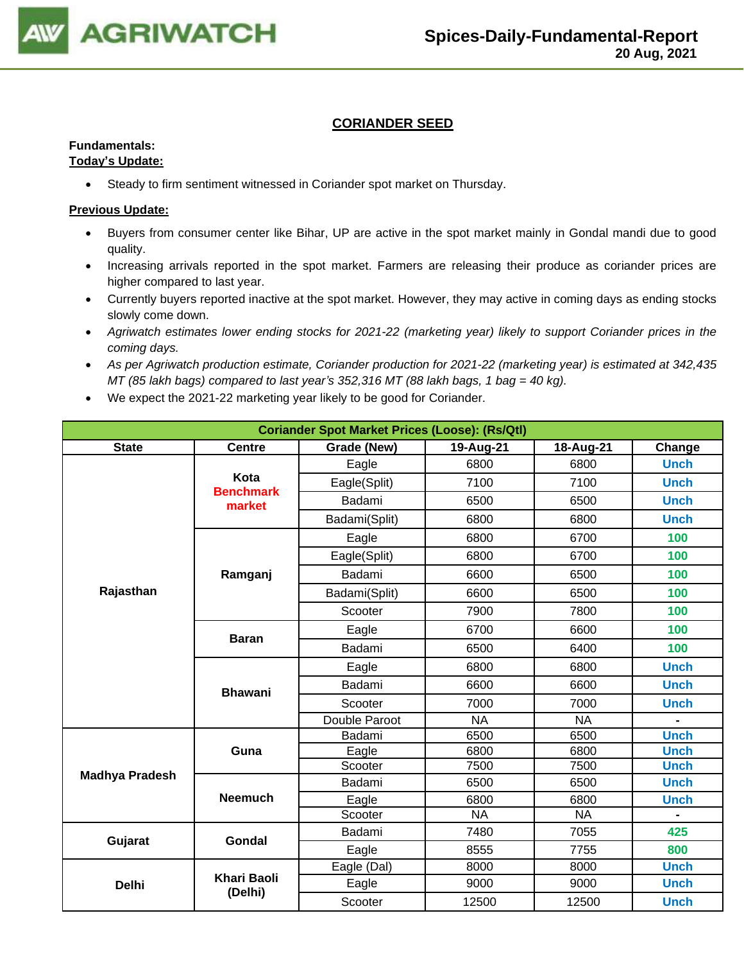

# **CORIANDER SEED**

### **Fundamentals:**

#### **Today's Update:**

• Steady to firm sentiment witnessed in Coriander spot market on Thursday.

- Buyers from consumer center like Bihar, UP are active in the spot market mainly in Gondal mandi due to good quality.
- Increasing arrivals reported in the spot market. Farmers are releasing their produce as coriander prices are higher compared to last year.
- Currently buyers reported inactive at the spot market. However, they may active in coming days as ending stocks slowly come down.
- *Agriwatch estimates lower ending stocks for 2021-22 (marketing year) likely to support Coriander prices in the coming days.*
- *As per Agriwatch production estimate, Coriander production for 2021-22 (marketing year) is estimated at 342,435 MT (85 lakh bags) compared to last year's 352,316 MT (88 lakh bags, 1 bag = 40 kg).*
- We expect the 2021-22 marketing year likely to be good for Coriander.

| <b>Coriander Spot Market Prices (Loose): (Rs/Qtl)</b> |                               |                                                 |           |           |             |  |  |  |  |
|-------------------------------------------------------|-------------------------------|-------------------------------------------------|-----------|-----------|-------------|--|--|--|--|
| <b>State</b>                                          | <b>Centre</b>                 | 18-Aug-21<br>Grade (New)<br>19-Aug-21<br>Change |           |           |             |  |  |  |  |
|                                                       |                               | Eagle                                           | 6800      | 6800      | <b>Unch</b> |  |  |  |  |
|                                                       | Kota<br><b>Benchmark</b>      | Eagle(Split)                                    | 7100      | 7100      | <b>Unch</b> |  |  |  |  |
|                                                       | market                        | Badami                                          | 6500      | 6500      | <b>Unch</b> |  |  |  |  |
|                                                       |                               | Badami(Split)                                   | 6800      | 6800      | <b>Unch</b> |  |  |  |  |
|                                                       |                               | Eagle                                           | 6800      | 6700      | 100         |  |  |  |  |
|                                                       |                               | Eagle(Split)                                    | 6800      | 6700      | 100         |  |  |  |  |
|                                                       | Ramganj                       | Badami                                          | 6600      | 6500      | 100         |  |  |  |  |
| Rajasthan                                             |                               | Badami(Split)                                   | 6600      | 6500      | 100         |  |  |  |  |
|                                                       |                               | Scooter                                         | 7900      | 7800      | 100         |  |  |  |  |
|                                                       |                               | Eagle                                           | 6700      | 6600      | 100         |  |  |  |  |
|                                                       | <b>Baran</b>                  | Badami                                          | 6500      | 6400      | 100         |  |  |  |  |
|                                                       |                               | Eagle                                           | 6800      | 6800      | <b>Unch</b> |  |  |  |  |
|                                                       | <b>Bhawani</b>                | Badami                                          | 6600      | 6600      | <b>Unch</b> |  |  |  |  |
|                                                       |                               | Scooter                                         | 7000      | 7000      | <b>Unch</b> |  |  |  |  |
|                                                       |                               | Double Paroot                                   | <b>NA</b> | <b>NA</b> |             |  |  |  |  |
|                                                       |                               | Badami                                          | 6500      | 6500      | <b>Unch</b> |  |  |  |  |
|                                                       | Guna                          | Eagle                                           | 6800      | 6800      | <b>Unch</b> |  |  |  |  |
| <b>Madhya Pradesh</b>                                 |                               | Scooter                                         | 7500      | 7500      | <b>Unch</b> |  |  |  |  |
|                                                       |                               | Badami                                          | 6500      | 6500      | <b>Unch</b> |  |  |  |  |
|                                                       | <b>Neemuch</b>                | Eagle                                           | 6800      | 6800      | <b>Unch</b> |  |  |  |  |
|                                                       |                               | Scooter                                         | <b>NA</b> | <b>NA</b> |             |  |  |  |  |
| Gujarat                                               | Gondal                        | Badami                                          | 7480      | 7055      | 425         |  |  |  |  |
|                                                       |                               | Eagle                                           | 8555      | 7755      | 800         |  |  |  |  |
|                                                       |                               | Eagle (Dal)                                     | 8000      | 8000      | <b>Unch</b> |  |  |  |  |
| <b>Delhi</b>                                          | <b>Khari Baoli</b><br>(Delhi) | Eagle                                           | 9000      | 9000      | <b>Unch</b> |  |  |  |  |
|                                                       |                               | Scooter                                         | 12500     | 12500     | <b>Unch</b> |  |  |  |  |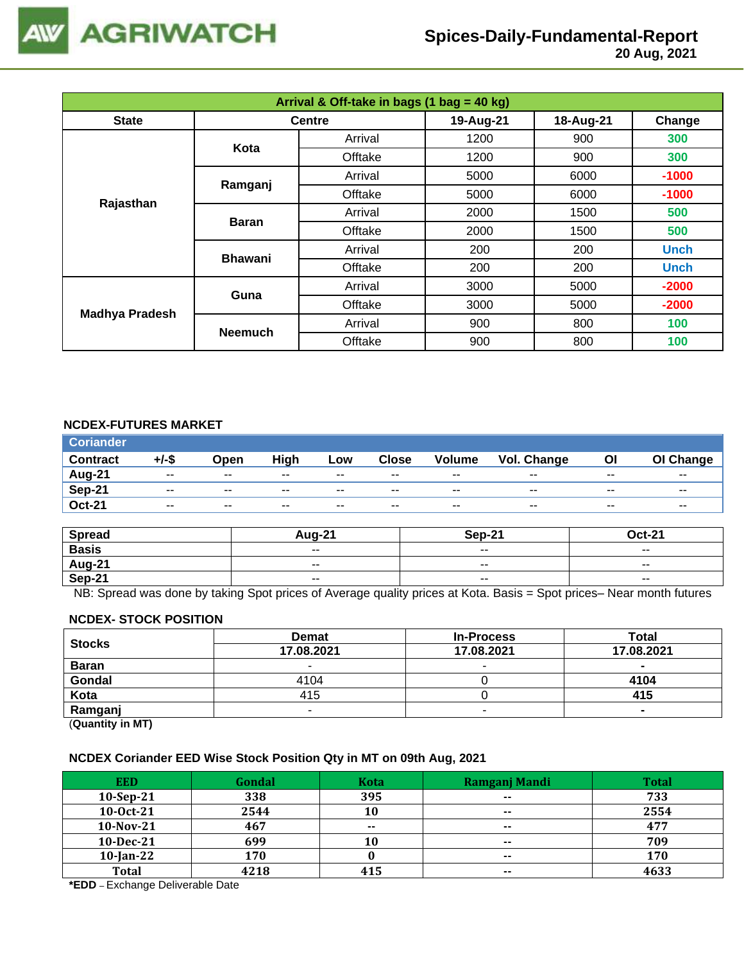

 **20 Aug, 2021**

| Arrival & Off-take in bags (1 bag = 40 kg) |                |               |           |           |             |  |  |
|--------------------------------------------|----------------|---------------|-----------|-----------|-------------|--|--|
| <b>State</b>                               |                | <b>Centre</b> | 19-Aug-21 | 18-Aug-21 | Change      |  |  |
|                                            | Kota           | Arrival       | 1200      | 900       | 300         |  |  |
|                                            |                | Offtake       | 1200      | 900       | 300         |  |  |
|                                            |                | Arrival       | 5000      | 6000      | $-1000$     |  |  |
|                                            | Ramganj        | Offtake       | 5000      | 6000      | $-1000$     |  |  |
| Rajasthan                                  | <b>Baran</b>   | Arrival       | 2000      | 1500      | 500         |  |  |
|                                            |                | Offtake       | 2000      | 1500      | 500         |  |  |
|                                            | <b>Bhawani</b> | Arrival       | 200       | 200       | <b>Unch</b> |  |  |
|                                            |                | Offtake       | 200       | 200       | <b>Unch</b> |  |  |
|                                            | Guna           | Arrival       | 3000      | 5000      | $-2000$     |  |  |
|                                            |                | Offtake       | 3000      | 5000      | $-2000$     |  |  |
| <b>Madhya Pradesh</b>                      | <b>Neemuch</b> | Arrival       | 900       | 800       | 100         |  |  |
|                                            |                | Offtake       | 900       | 800       | 100         |  |  |

### **NCDEX-FUTURES MARKET**

| <b>Coriander</b> |       |       |       |       |              |               |                    |       |           |
|------------------|-------|-------|-------|-------|--------------|---------------|--------------------|-------|-----------|
| <b>Contract</b>  | +/-\$ | Open  | High  | Low   | <b>Close</b> | <b>Volume</b> | <b>Vol. Change</b> | ΟI    | OI Change |
| Aug-21           | $- -$ | $- -$ | $- -$ | $- -$ | $- -$        | $- -$         | $- -$              | $- -$ | $- -$     |
| <b>Sep-21</b>    | $- -$ | $- -$ | $- -$ | $- -$ | $- -$        | $- -$         | $- -$              | $- -$ | $- -$     |
| <b>Oct-21</b>    | $- -$ | $- -$ | $- -$ | $- -$ | $- -$        | $- -$         | $- -$              | $- -$ | $- -$     |

| <b>Spread</b>                             | $410 - 22$ | <b>Sep-21</b>            | $Oct-21$                 |
|-------------------------------------------|------------|--------------------------|--------------------------|
| <b>Basis</b>                              | $ -$       | $\overline{\phantom{a}}$ | $\overline{\phantom{a}}$ |
| $\frac{\overline{Aug-21}}{\text{Sep-21}}$ | $- -$      | $- -$                    | $- -$                    |
|                                           | $ -$       | $\overline{\phantom{a}}$ | $\overline{\phantom{a}}$ |

NB: Spread was done by taking Spot prices of Average quality prices at Kota. Basis = Spot prices– Near month futures

#### **NCDEX- STOCK POSITION**

| <b>Stocks</b>           | <b>Demat</b> | <b>In-Process</b> | Total      |
|-------------------------|--------------|-------------------|------------|
|                         | 17.08.2021   | 17.08.2021        | 17.08.2021 |
| <b>Baran</b>            |              | -                 |            |
| Gondal                  | 4104         |                   | 4104       |
| Kota                    | 415          |                   | 415        |
| Ramganj                 |              |                   |            |
| (0.1222, 0.0122, 0.000) |              |                   |            |

(**Quantity in MT)**

#### **NCDEX Coriander EED Wise Stock Position Qty in MT on 09th Aug, 2021**

| <b>EED</b>   | Gondal | <b>Kota</b> | Ramganj Mandi | <b>Total</b> |
|--------------|--------|-------------|---------------|--------------|
| $10-Sep-21$  | 338    | 395         | $- -$         | 733          |
| 10-0ct-21    | 2544   | 10          | $\sim$        | 2554         |
| $10-Nov-21$  | 467    | $- -$       | $\sim$        | 477          |
| 10-Dec-21    | 699    | 10          | $- -$         | 709          |
| $10$ -Jan-22 | 170    |             | $- -$         | 170          |
| <b>Total</b> | 4218   | 415         | $\sim$        | 4633         |